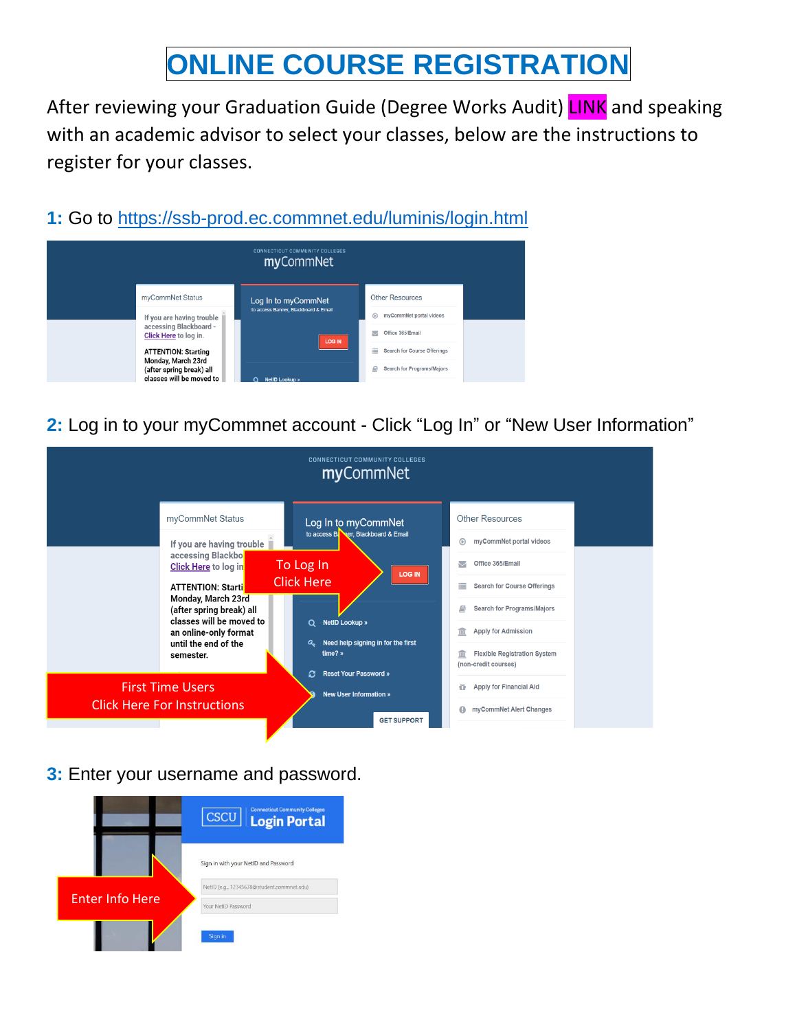# **ONLINE COURSE REGISTRATION**

After reviewing your Graduation Guide (Degree Works Audit) LINK and speaking with an academic advisor to select your classes, below are the instructions to register for your classes.

**1:** Go to<https://ssb-prod.ec.commnet.edu/luminis/login.html>



**2:** Log in to your myCommnet account - Click "Log In" or "New User Information"



**3:** Enter your username and password.

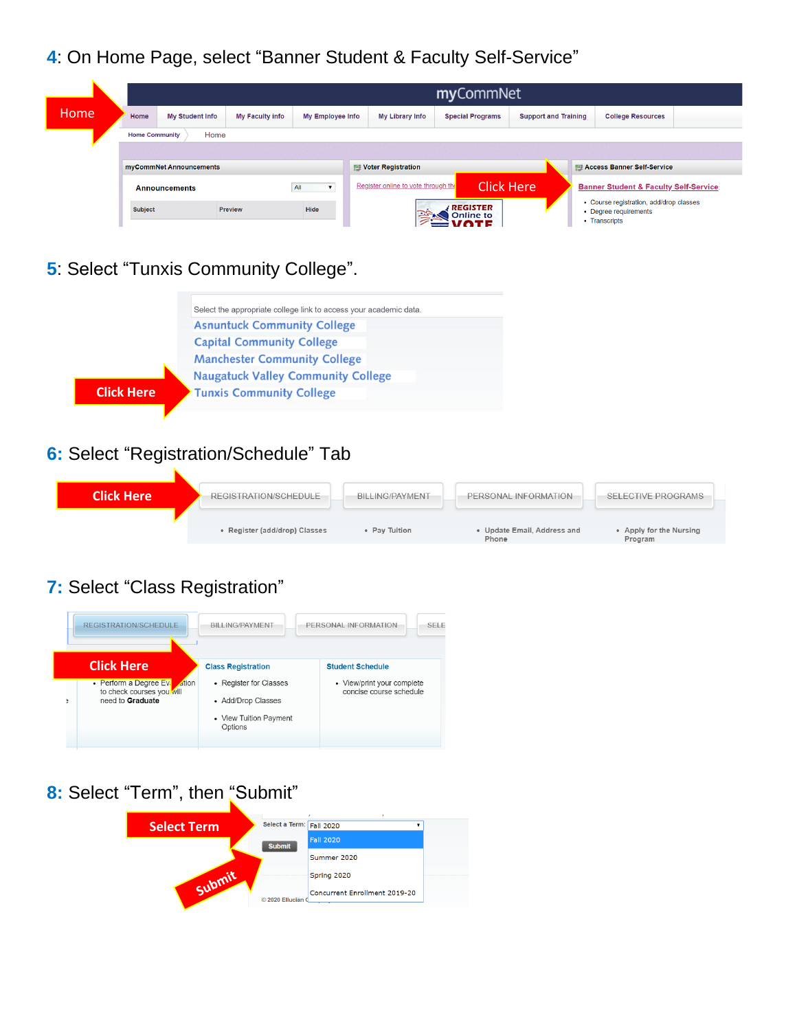**4**: On Home Page, select "Banner Student & Faculty Self-Service"

|      |                                                           | myCommNet       |                        |                  |  |                                     |                                     |  |                             |                                                                                   |                                                   |  |  |  |  |
|------|-----------------------------------------------------------|-----------------|------------------------|------------------|--|-------------------------------------|-------------------------------------|--|-----------------------------|-----------------------------------------------------------------------------------|---------------------------------------------------|--|--|--|--|
| Home | Home                                                      | My Student Info | <b>My Faculty info</b> | My Employee Info |  | My Library Info                     | <b>Special Programs</b>             |  | <b>Support and Training</b> |                                                                                   | <b>College Resources</b>                          |  |  |  |  |
|      | <b>Home Community</b>                                     | Home            |                        |                  |  |                                     |                                     |  |                             |                                                                                   |                                                   |  |  |  |  |
|      |                                                           |                 |                        |                  |  |                                     |                                     |  |                             |                                                                                   |                                                   |  |  |  |  |
|      | myCommNet Announcements                                   |                 |                        |                  |  | <b>E</b> Voter Registration         |                                     |  |                             | <b>E Access Banner Self-Service</b>                                               |                                                   |  |  |  |  |
|      | All<br><b>Announcements</b><br>Hide<br>Subject<br>Preview |                 |                        |                  |  | Register online to vote through the |                                     |  | <b>Click Here</b>           |                                                                                   | <b>Banner Student &amp; Faculty Self-Service:</b> |  |  |  |  |
|      |                                                           |                 |                        |                  |  |                                     | <b>REGISTER</b><br><b>Online to</b> |  |                             | • Course registration, add/drop classes<br>• Degree requirements<br>• Transcripts |                                                   |  |  |  |  |

#### **5**: Select "Tunxis Community College".



## **6:** Select "Registration/Schedule" Tab

| <b>Click Here</b> | REGISTRATION/SCHEDULE         | <b>BILLING/PAYMENT</b> | PERSONAL INFORMATION               | <b>SELECTIVE PROGRAMS</b>          |  |  |
|-------------------|-------------------------------|------------------------|------------------------------------|------------------------------------|--|--|
|                   | • Register (add/drop) Classes | • Pay Tuition          | Update Email, Address and<br>Phone | • Apply for the Nursing<br>Program |  |  |

### **7:** Select "Class Registration"



### 8: Select "Term", then "Submit"

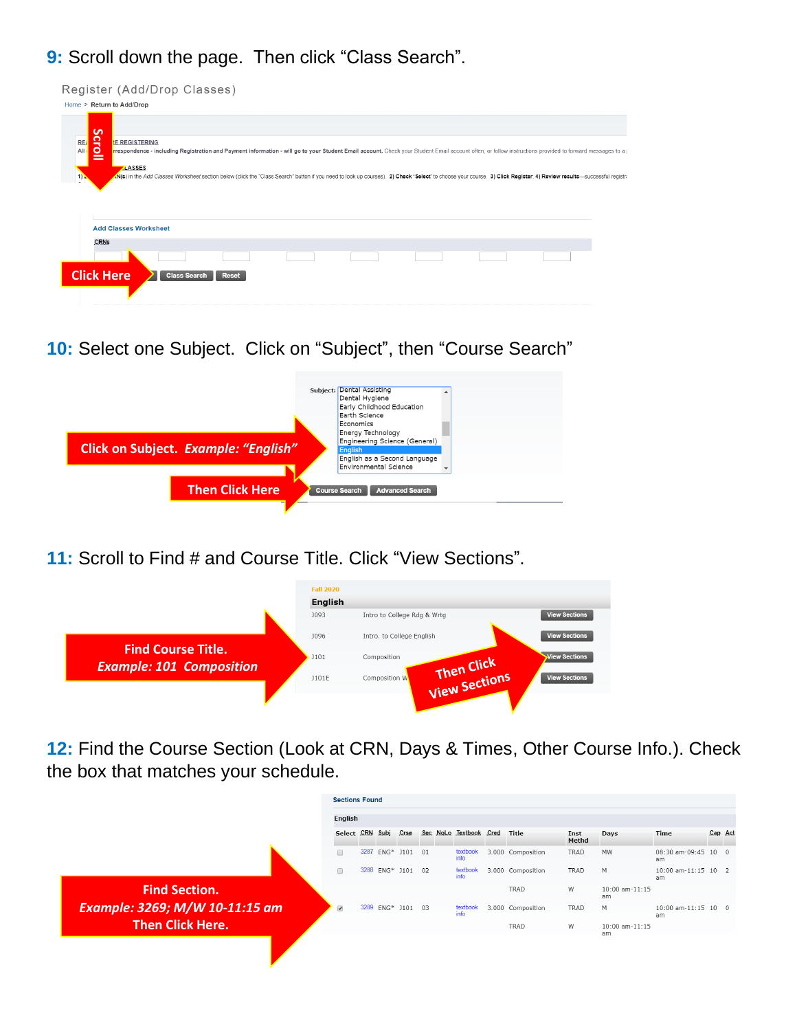### **9:** Scroll down the page. Then click "Class Search".

| Register (Add/Drop Classes)                                                                                                                                                                                                                                                                                                                                                                                                                                                                                                 |
|-----------------------------------------------------------------------------------------------------------------------------------------------------------------------------------------------------------------------------------------------------------------------------------------------------------------------------------------------------------------------------------------------------------------------------------------------------------------------------------------------------------------------------|
| Home > Return to Add/Drop                                                                                                                                                                                                                                                                                                                                                                                                                                                                                                   |
| ဖ<br>croll<br>RE/<br><b>E REGISTERING</b><br>respondence - including Registration and Payment information - will go to your Student Email account. Check your Student Email account often, or follow instructions provided to forward messages to a provided to forward mes<br>All<br>LASSES<br>off(s) in the Add Classes Worksheef section below (click the "Class Search" button if you need to look up courses). 2) Check 'Select' to choose your course. 3) Click Register. 4) Review results-successful registra<br>1) |
|                                                                                                                                                                                                                                                                                                                                                                                                                                                                                                                             |
| <b>Add Classes Worksheet</b>                                                                                                                                                                                                                                                                                                                                                                                                                                                                                                |
| CRNs                                                                                                                                                                                                                                                                                                                                                                                                                                                                                                                        |
|                                                                                                                                                                                                                                                                                                                                                                                                                                                                                                                             |
| <b>Click Here</b><br><b>Class Search</b><br><b>Reset</b>                                                                                                                                                                                                                                                                                                                                                                                                                                                                    |
|                                                                                                                                                                                                                                                                                                                                                                                                                                                                                                                             |

**10:** Select one Subject. Click on "Subject", then "Course Search"

|                                      | Subject: Dental Assisting<br>Dental Hygiene<br>Early Childhood Education<br>Earth Science<br>Economics<br>Energy Technology |
|--------------------------------------|-----------------------------------------------------------------------------------------------------------------------------|
| Click on Subject. Example: "English" | Engineering Science (General)<br><b>English</b><br>English as a Second Language<br>Environmental Science                    |
| <b>Then Click Here</b>               | <b>Advanced Search</b><br><b>Course Search</b>                                                                              |

**11:** Scroll to Find # and Course Title. Click "View Sections".



**12:** Find the Course Section (Look at CRN, Days & Times, Other Course Info.). Check the box that matches your schedule.

|                                | <b>Sections Found</b><br>English |  |                   |  |  |                        |  |                   |               |                      |                           |         |  |
|--------------------------------|----------------------------------|--|-------------------|--|--|------------------------|--|-------------------|---------------|----------------------|---------------------------|---------|--|
|                                | Select CRN Subj Crse             |  |                   |  |  | Sec NoLo Textbook Cred |  | Title             | Inst<br>Methd | Days                 | Time                      | Cap Act |  |
|                                | $\Box$                           |  | 3287 ENG* J101 01 |  |  | textbook<br>info       |  | 3.000 Composition | TRAD          | <b>MW</b>            | 08:30 am-09:45 10 0<br>am |         |  |
|                                | $\Box$                           |  | 3288 ENG* J101 02 |  |  | textbook<br>info       |  | 3.000 Composition | TRAD          | M                    | 10:00 am-11:15 10 2<br>am |         |  |
| <b>Find Section.</b>           |                                  |  |                   |  |  |                        |  | TRAD              | W             | 10:00 am-11:15<br>am |                           |         |  |
| Example: 3269; M/W 10-11:15 am | $\overline{\mathcal{L}}$         |  | 3289 ENG* J101 03 |  |  | textbook<br>info       |  | 3.000 Composition | TRAD          | M                    | 10:00 am-11:15 10 0<br>am |         |  |
| <b>Then Click Here.</b>        |                                  |  |                   |  |  |                        |  | TRAD              | W             | 10:00 am-11:15<br>am |                           |         |  |
|                                |                                  |  |                   |  |  |                        |  |                   |               |                      |                           |         |  |